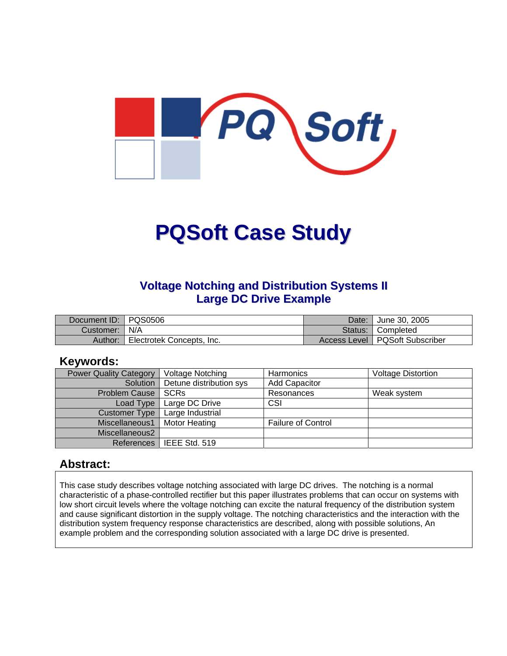

# **PQSoft Case Study**

#### **Voltage Notching and Distribution Systems II Large DC Drive Example**

| Document ID:   PQS0506 |                           | Date: | June 30, 2005                    |
|------------------------|---------------------------|-------|----------------------------------|
| Customer:   N/A        |                           |       | Status:   Completed              |
| Author:                | Electrotek Concepts, Inc. |       | Access Level   PQSoft Subscriber |

#### **Keywords:**

| <b>Power Quality Category</b> | <b>Voltage Notching</b> | <b>Harmonics</b>          | <b>Voltage Distortion</b> |
|-------------------------------|-------------------------|---------------------------|---------------------------|
| Solution                      | Detune distribution sys | <b>Add Capacitor</b>      |                           |
| Problem Cause                 | SCRs                    | Resonances                | Weak system               |
| Load Type                     | Large DC Drive          | CSI                       |                           |
| <b>Customer Type</b>          | Large Industrial        |                           |                           |
| Miscellaneous1                | <b>Motor Heating</b>    | <b>Failure of Control</b> |                           |
| Miscellaneous2                |                         |                           |                           |
| References                    | l IEEE Std. 519         |                           |                           |

#### **Abstract:**

This case study describes voltage notching associated with large DC drives. The notching is a normal characteristic of a phase-controlled rectifier but this paper illustrates problems that can occur on systems with low short circuit levels where the voltage notching can excite the natural frequency of the distribution system and cause significant distortion in the supply voltage. The notching characteristics and the interaction with the distribution system frequency response characteristics are described, along with possible solutions, An example problem and the corresponding solution associated with a large DC drive is presented.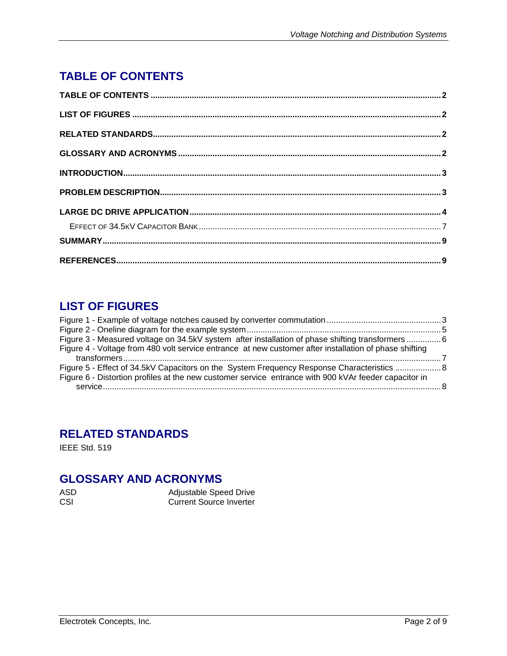# <span id="page-1-0"></span>**TABLE OF CONTENTS**

# **LIST OF FIGURES**

| Figure 3 - Measured voltage on 34.5kV system after installation of phase shifting transformers6        |  |
|--------------------------------------------------------------------------------------------------------|--|
| Figure 4 - Voltage from 480 volt service entrance at new customer after installation of phase shifting |  |
|                                                                                                        |  |
| Figure 5 - Effect of 34.5kV Capacitors on the System Frequency Response Characteristics                |  |
| Figure 6 - Distortion profiles at the new customer service entrance with 900 kVAr feeder capacitor in  |  |
|                                                                                                        |  |

# **RELATED STANDARDS**

IEEE Std. 519

## **GLOSSARY AND ACRONYMS**

| ASD | Adjustable Speed Drive  |
|-----|-------------------------|
| CSI | Current Source Inverter |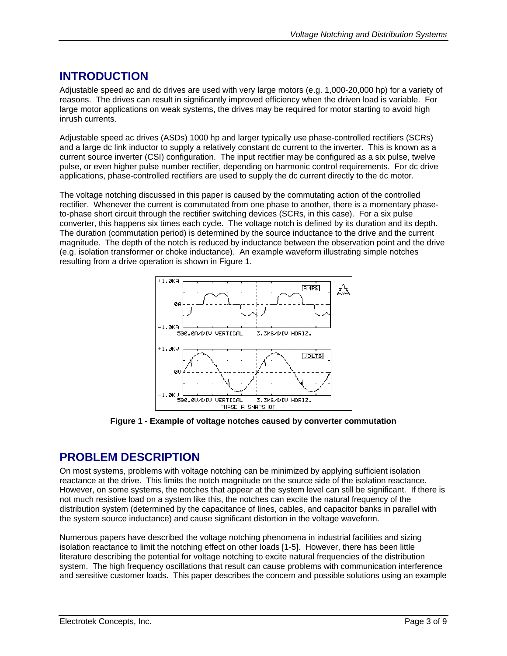### <span id="page-2-0"></span>**INTRODUCTION**

Adjustable speed ac and dc drives are used with very large motors (e.g. 1,000-20,000 hp) for a variety of reasons. The drives can result in significantly improved efficiency when the driven load is variable. For large motor applications on weak systems, the drives may be required for motor starting to avoid high inrush currents.

Adjustable speed ac drives (ASDs) 1000 hp and larger typically use phase-controlled rectifiers (SCRs) and a large dc link inductor to supply a relatively constant dc current to the inverter. This is known as a current source inverter (CSI) configuration. The input rectifier may be configured as a six pulse, twelve pulse, or even higher pulse number rectifier, depending on harmonic control requirements. For dc drive applications, phase-controlled rectifiers are used to supply the dc current directly to the dc motor.

The voltage notching discussed in this paper is caused by the commutating action of the controlled rectifier. Whenever the current is commutated from one phase to another, there is a momentary phaseto-phase short circuit through the rectifier switching devices (SCRs, in this case). For a six pulse converter, this happens six times each cycle. The voltage notch is defined by its duration and its depth. The duration (commutation period) is determined by the source inductance to the drive and the current magnitude. The depth of the notch is reduced by inductance between the observation point and the drive (e.g. isolation transformer or choke inductance). An example waveform illustrating simple notches resulting from a drive operation is shown in Figure 1.



**Figure 1 - Example of voltage notches caused by converter commutation** 

#### **PROBLEM DESCRIPTION**

On most systems, problems with voltage notching can be minimized by applying sufficient isolation reactance at the drive. This limits the notch magnitude on the source side of the isolation reactance. However, on some systems, the notches that appear at the system level can still be significant. If there is not much resistive load on a system like this, the notches can excite the natural frequency of the distribution system (determined by the capacitance of lines, cables, and capacitor banks in parallel with the system source inductance) and cause significant distortion in the voltage waveform.

Numerous papers have described the voltage notching phenomena in industrial facilities and sizing isolation reactance to limit the notching effect on other loads [1-5]. However, there has been little literature describing the potential for voltage notching to excite natural frequencies of the distribution system. The high frequency oscillations that result can cause problems with communication interference and sensitive customer loads. This paper describes the concern and possible solutions using an example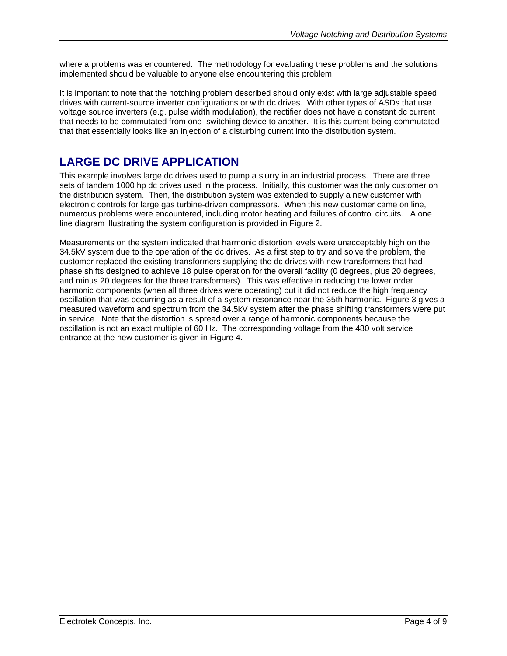<span id="page-3-0"></span>where a problems was encountered. The methodology for evaluating these problems and the solutions implemented should be valuable to anyone else encountering this problem.

It is important to note that the notching problem described should only exist with large adjustable speed drives with current-source inverter configurations or with dc drives. With other types of ASDs that use voltage source inverters (e.g. pulse width modulation), the rectifier does not have a constant dc current that needs to be commutated from one switching device to another. It is this current being commutated that that essentially looks like an injection of a disturbing current into the distribution system.

#### **LARGE DC DRIVE APPLICATION**

This example involves large dc drives used to pump a slurry in an industrial process. There are three sets of tandem 1000 hp dc drives used in the process. Initially, this customer was the only customer on the distribution system. Then, the distribution system was extended to supply a new customer with electronic controls for large gas turbine-driven compressors. When this new customer came on line, numerous problems were encountered, including motor heating and failures of control circuits. A one line diagram illustrating the system configuration is provided in Figure 2.

Measurements on the system indicated that harmonic distortion levels were unacceptably high on the 34.5kV system due to the operation of the dc drives. As a first step to try and solve the problem, the customer replaced the existing transformers supplying the dc drives with new transformers that had phase shifts designed to achieve 18 pulse operation for the overall facility (0 degrees, plus 20 degrees, and minus 20 degrees for the three transformers). This was effective in reducing the lower order harmonic components (when all three drives were operating) but it did not reduce the high frequency oscillation that was occurring as a result of a system resonance near the 35th harmonic. Figure 3 gives a measured waveform and spectrum from the 34.5kV system after the phase shifting transformers were put in service. Note that the distortion is spread over a range of harmonic components because the oscillation is not an exact multiple of 60 Hz. The corresponding voltage from the 480 volt service entrance at the new customer is given in Figure 4.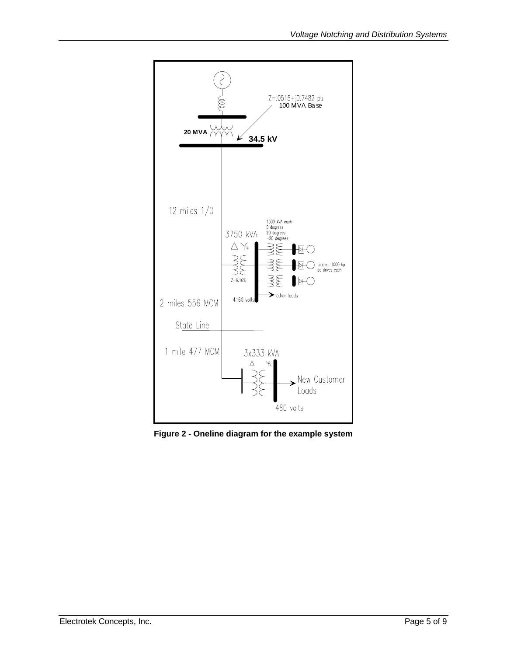<span id="page-4-0"></span>

**Figure 2 - Oneline diagram for the example system**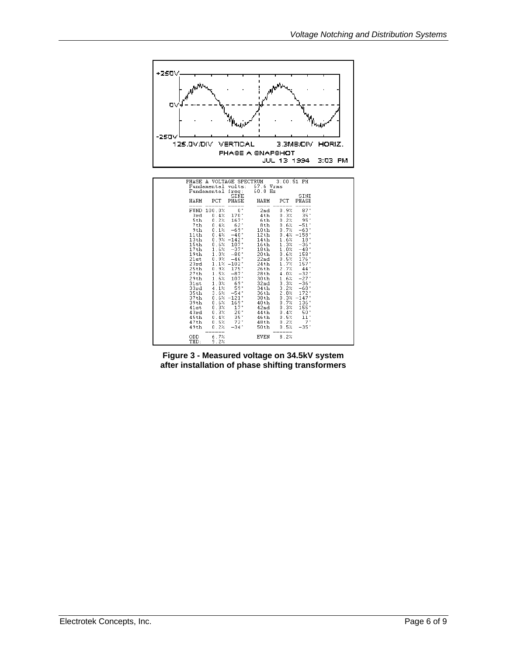<span id="page-5-0"></span>

**Figure 3 - Measured voltage on 34.5kV system after installation of phase shifting transformers**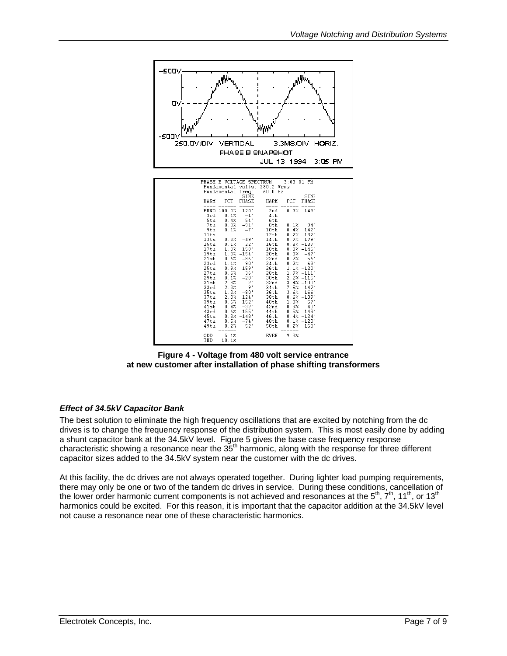<span id="page-6-0"></span>

**Figure 4 - Voltage from 480 volt service entrance at new customer after installation of phase shifting transformers** 

#### *Effect of 34.5kV Capacitor Bank*

The best solution to eliminate the high frequency oscillations that are excited by notching from the dc drives is to change the frequency response of the distribution system. This is most easily done by adding a shunt capacitor bank at the 34.5kV level. Figure 5 gives the base case frequency response characteristic showing a resonance near the  $35<sup>th</sup>$  harmonic, along with the response for three different capacitor sizes added to the 34.5kV system near the customer with the dc drives.

At this facility, the dc drives are not always operated together. During lighter load pumping requirements, there may only be one or two of the tandem dc drives in service. During these conditions, cancellation of the lower order harmonic current components is not achieved and resonances at the  $5<sup>th</sup>$ ,  $7<sup>th</sup>$ , 11<sup>th</sup>, or 13<sup>th</sup> harmonics could be excited. For this reason, it is important that the capacitor addition at the 34.5kV level not cause a resonance near one of these characteristic harmonics.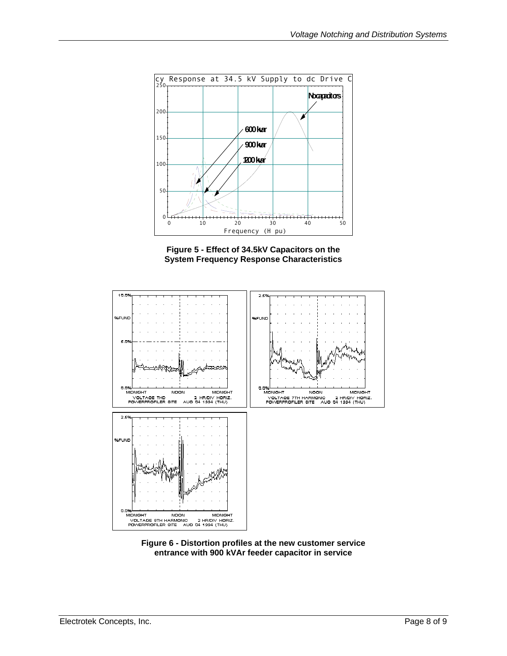<span id="page-7-0"></span>